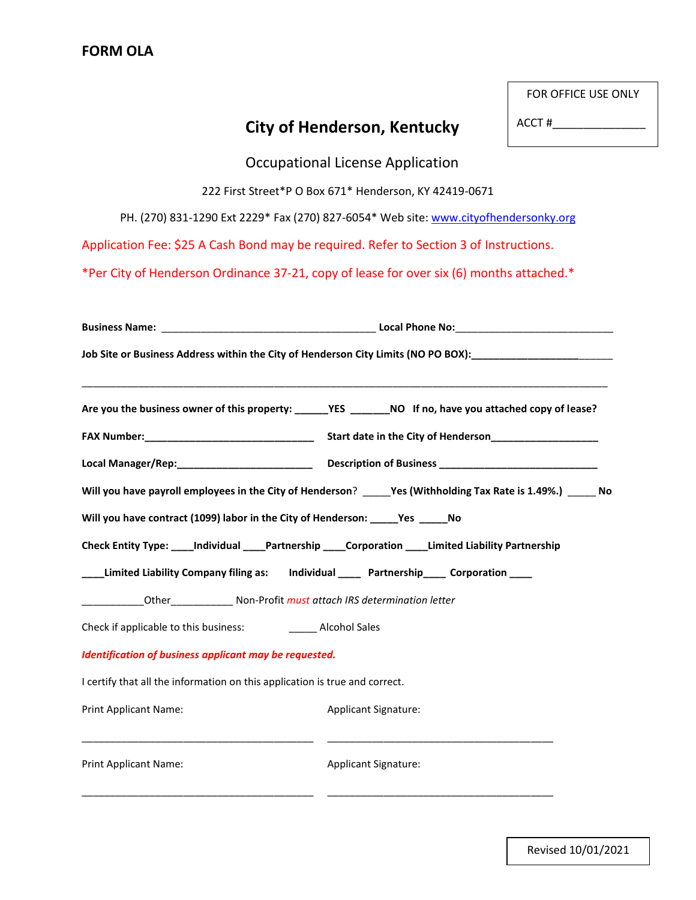|                                                                                                               |                                                        | FOR OFFICE USE ONLY |
|---------------------------------------------------------------------------------------------------------------|--------------------------------------------------------|---------------------|
|                                                                                                               | <b>City of Henderson, Kentucky</b>                     | ACCT#               |
|                                                                                                               | <b>Occupational License Application</b>                |                     |
|                                                                                                               | 222 First Street*P O Box 671* Henderson, KY 42419-0671 |                     |
| PH. (270) 831-1290 Ext 2229* Fax (270) 827-6054* Web site: www.cityofhendersonky.org                          |                                                        |                     |
| Application Fee: \$25 A Cash Bond may be required. Refer to Section 3 of Instructions.                        |                                                        |                     |
| *Per City of Henderson Ordinance 37-21, copy of lease for over six (6) months attached.*                      |                                                        |                     |
|                                                                                                               |                                                        |                     |
| Job Site or Business Address within the City of Henderson City Limits (NO PO BOX): John Museum Mari           |                                                        |                     |
| Are you the business owner of this property: ______YES ________NO If no, have you attached copy of lease?     |                                                        |                     |
|                                                                                                               |                                                        |                     |
| Local Manager/Rep: ___________________________ Description of Business ____________________________           |                                                        |                     |
| Will you have payroll employees in the City of Henderson? _____Yes (Withholding Tax Rate is 1.49%.) ______ No |                                                        |                     |
| Will you have contract (1099) labor in the City of Henderson: _____Yes ______No                               |                                                        |                     |
| Check Entity Type: _____Individual _____Partnership _____Corporation _____Limited Liability Partnership       |                                                        |                     |
| Limited Liability Company filing as: Individual ____ Partnership____ Corporation ___                          |                                                        |                     |
| Other_____________ Non-Profit must attach IRS determination letter                                            |                                                        |                     |
| Check if applicable to this business:                                                                         | ______ Alcohol Sales                                   |                     |
| <b>Identification of business applicant may be requested.</b>                                                 |                                                        |                     |
| I certify that all the information on this application is true and correct.                                   |                                                        |                     |
| <b>Print Applicant Name:</b>                                                                                  | <b>Applicant Signature:</b>                            |                     |
| Print Applicant Name:                                                                                         | <b>Applicant Signature:</b>                            |                     |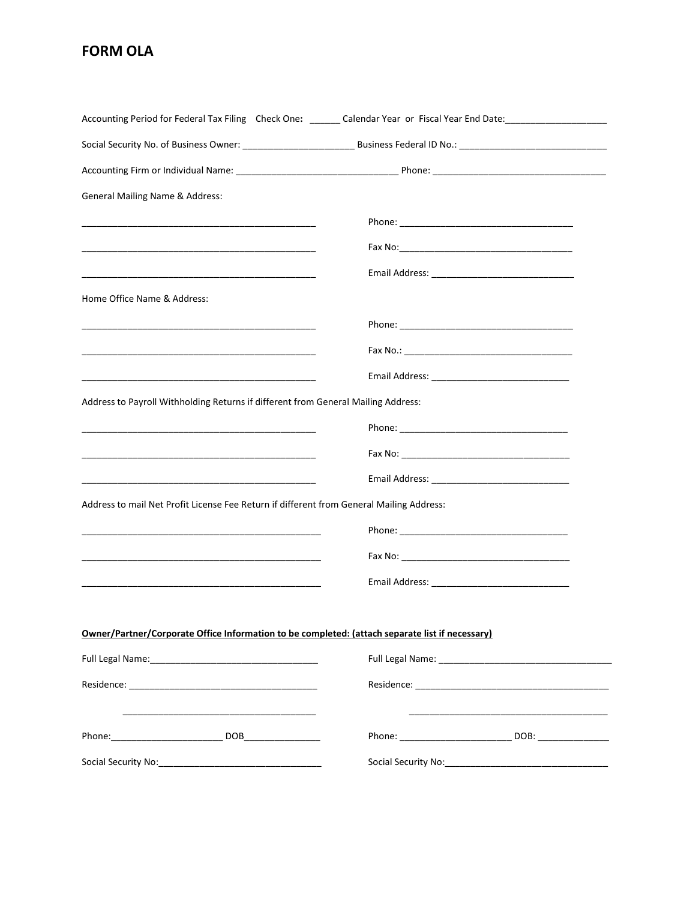## **FORM OLA**

|                                                                                                 | Accounting Period for Federal Tax Filing Check One: _______ Calendar Year or Fiscal Year End Date: __________________ |  |
|-------------------------------------------------------------------------------------------------|-----------------------------------------------------------------------------------------------------------------------|--|
|                                                                                                 |                                                                                                                       |  |
|                                                                                                 |                                                                                                                       |  |
| <b>General Mailing Name &amp; Address:</b>                                                      |                                                                                                                       |  |
|                                                                                                 |                                                                                                                       |  |
|                                                                                                 |                                                                                                                       |  |
|                                                                                                 |                                                                                                                       |  |
| Home Office Name & Address:                                                                     |                                                                                                                       |  |
|                                                                                                 |                                                                                                                       |  |
|                                                                                                 |                                                                                                                       |  |
|                                                                                                 |                                                                                                                       |  |
| Address to Payroll Withholding Returns if different from General Mailing Address:               |                                                                                                                       |  |
|                                                                                                 |                                                                                                                       |  |
|                                                                                                 |                                                                                                                       |  |
|                                                                                                 |                                                                                                                       |  |
| Address to mail Net Profit License Fee Return if different from General Mailing Address:        |                                                                                                                       |  |
|                                                                                                 |                                                                                                                       |  |
|                                                                                                 |                                                                                                                       |  |
|                                                                                                 |                                                                                                                       |  |
|                                                                                                 |                                                                                                                       |  |
| Owner/Partner/Corporate Office Information to be completed: (attach separate list if necessary) |                                                                                                                       |  |
|                                                                                                 |                                                                                                                       |  |
|                                                                                                 |                                                                                                                       |  |
|                                                                                                 |                                                                                                                       |  |
|                                                                                                 |                                                                                                                       |  |
|                                                                                                 |                                                                                                                       |  |